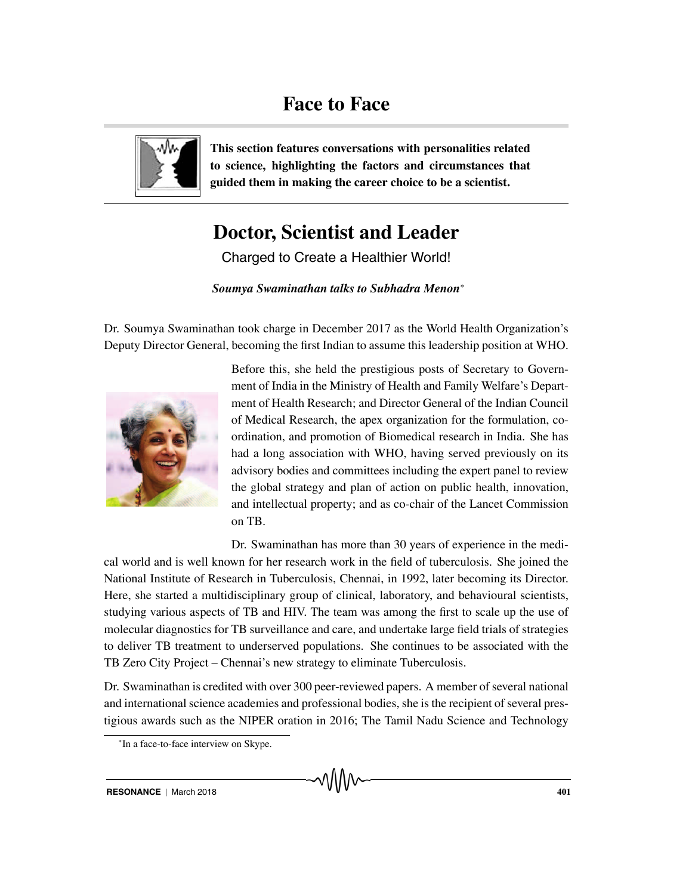

**This section features conversations with personalities related to science, highlighting the factors and circumstances that guided them in making the career choice to be a scientist.**

## **Doctor, Scientist and Leader**

Charged to Create a Healthier World!

*Soumya Swaminathan talks to Subhadra Menon*<sup>∗</sup>

Dr. Soumya Swaminathan took charge in December 2017 as the World Health Organization's Deputy Director General, becoming the first Indian to assume this leadership position at WHO.



Before this, she held the prestigious posts of Secretary to Government of India in the Ministry of Health and Family Welfare's Department of Health Research; and Director General of the Indian Council of Medical Research, the apex organization for the formulation, coordination, and promotion of Biomedical research in India. She has had a long association with WHO, having served previously on its advisory bodies and committees including the expert panel to review the global strategy and plan of action on public health, innovation, and intellectual property; and as co-chair of the Lancet Commission on TB.

Dr. Swaminathan has more than 30 years of experience in the medical world and is well known for her research work in the field of tuberculosis. She joined the National Institute of Research in Tuberculosis, Chennai, in 1992, later becoming its Director. Here, she started a multidisciplinary group of clinical, laboratory, and behavioural scientists, studying various aspects of TB and HIV. The team was among the first to scale up the use of molecular diagnostics for TB surveillance and care, and undertake large field trials of strategies to deliver TB treatment to underserved populations. She continues to be associated with the TB Zero City Project – Chennai's new strategy to eliminate Tuberculosis.

Dr. Swaminathan is credited with over 300 peer-reviewed papers. A member of several national and international science academies and professional bodies, she is the recipient of several prestigious awards such as the NIPER oration in 2016; The Tamil Nadu Science and Technology

<sup>∗</sup>In a face-to-face interview on Skype.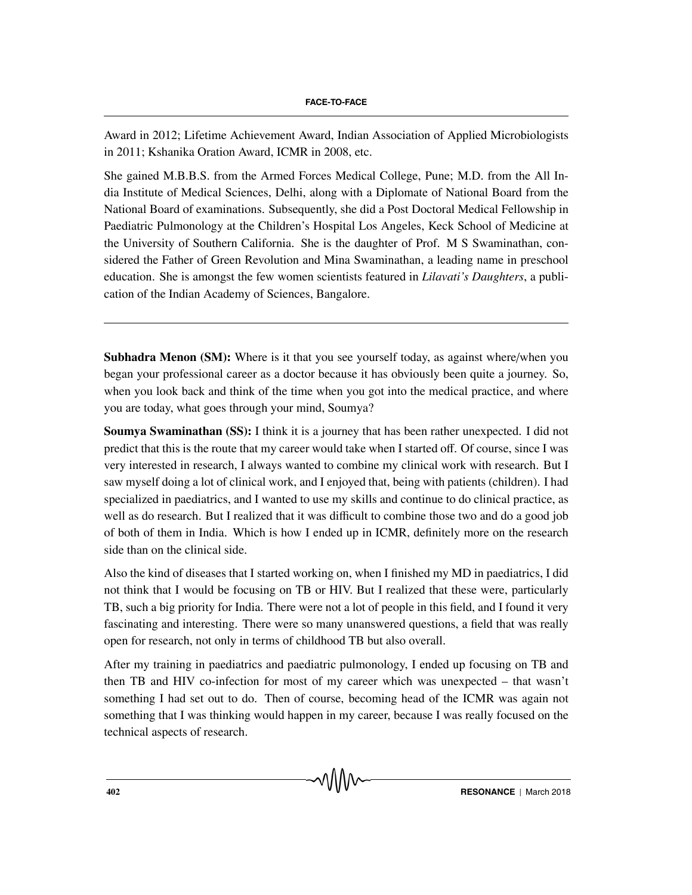Award in 2012; Lifetime Achievement Award, Indian Association of Applied Microbiologists in 2011; Kshanika Oration Award, ICMR in 2008, etc.

She gained M.B.B.S. from the Armed Forces Medical College, Pune; M.D. from the All India Institute of Medical Sciences, Delhi, along with a Diplomate of National Board from the National Board of examinations. Subsequently, she did a Post Doctoral Medical Fellowship in Paediatric Pulmonology at the Children's Hospital Los Angeles, Keck School of Medicine at the University of Southern California. She is the daughter of Prof. M S Swaminathan, considered the Father of Green Revolution and Mina Swaminathan, a leading name in preschool education. She is amongst the few women scientists featured in *Lilavati's Daughters*, a publication of the Indian Academy of Sciences, Bangalore.

**Subhadra Menon (SM):** Where is it that you see yourself today, as against where/when you began your professional career as a doctor because it has obviously been quite a journey. So, when you look back and think of the time when you got into the medical practice, and where you are today, what goes through your mind, Soumya?

**Soumya Swaminathan (SS):** I think it is a journey that has been rather unexpected. I did not predict that this is the route that my career would take when I started off. Of course, since I was very interested in research, I always wanted to combine my clinical work with research. But I saw myself doing a lot of clinical work, and I enjoyed that, being with patients (children). I had specialized in paediatrics, and I wanted to use my skills and continue to do clinical practice, as well as do research. But I realized that it was difficult to combine those two and do a good job of both of them in India. Which is how I ended up in ICMR, definitely more on the research side than on the clinical side.

Also the kind of diseases that I started working on, when I finished my MD in paediatrics, I did not think that I would be focusing on TB or HIV. But I realized that these were, particularly TB, such a big priority for India. There were not a lot of people in this field, and I found it very fascinating and interesting. There were so many unanswered questions, a field that was really open for research, not only in terms of childhood TB but also overall.

After my training in paediatrics and paediatric pulmonology, I ended up focusing on TB and then TB and HIV co-infection for most of my career which was unexpected – that wasn't something I had set out to do. Then of course, becoming head of the ICMR was again not something that I was thinking would happen in my career, because I was really focused on the technical aspects of research.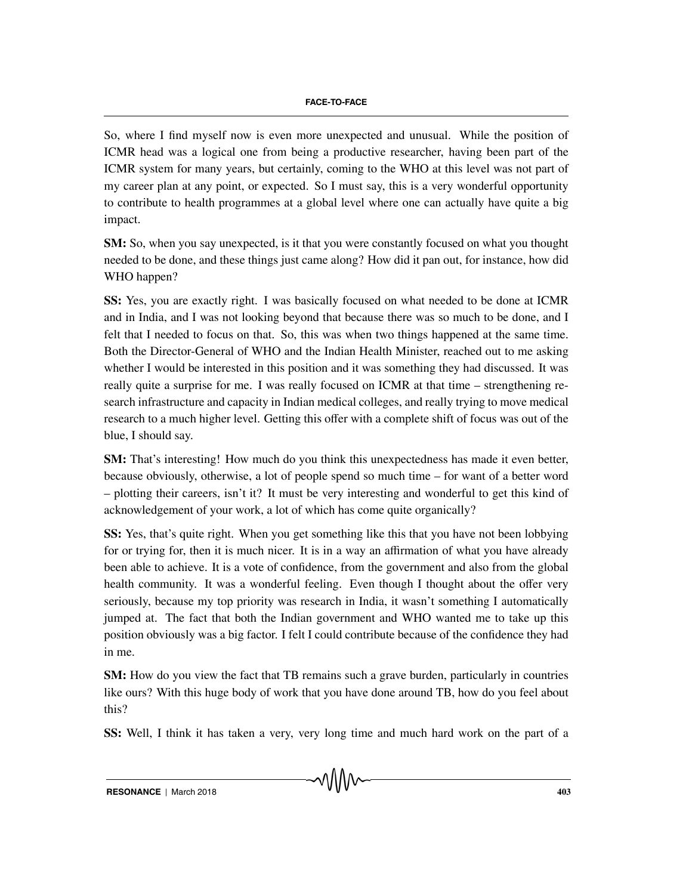So, where I find myself now is even more unexpected and unusual. While the position of ICMR head was a logical one from being a productive researcher, having been part of the ICMR system for many years, but certainly, coming to the WHO at this level was not part of my career plan at any point, or expected. So I must say, this is a very wonderful opportunity to contribute to health programmes at a global level where one can actually have quite a big impact.

**SM:** So, when you say unexpected, is it that you were constantly focused on what you thought needed to be done, and these things just came along? How did it pan out, for instance, how did WHO happen?

**SS:** Yes, you are exactly right. I was basically focused on what needed to be done at ICMR and in India, and I was not looking beyond that because there was so much to be done, and I felt that I needed to focus on that. So, this was when two things happened at the same time. Both the Director-General of WHO and the Indian Health Minister, reached out to me asking whether I would be interested in this position and it was something they had discussed. It was really quite a surprise for me. I was really focused on ICMR at that time – strengthening research infrastructure and capacity in Indian medical colleges, and really trying to move medical research to a much higher level. Getting this offer with a complete shift of focus was out of the blue, I should say.

**SM:** That's interesting! How much do you think this unexpectedness has made it even better, because obviously, otherwise, a lot of people spend so much time – for want of a better word – plotting their careers, isn't it? It must be very interesting and wonderful to get this kind of acknowledgement of your work, a lot of which has come quite organically?

**SS:** Yes, that's quite right. When you get something like this that you have not been lobbying for or trying for, then it is much nicer. It is in a way an affirmation of what you have already been able to achieve. It is a vote of confidence, from the government and also from the global health community. It was a wonderful feeling. Even though I thought about the offer very seriously, because my top priority was research in India, it wasn't something I automatically jumped at. The fact that both the Indian government and WHO wanted me to take up this position obviously was a big factor. I felt I could contribute because of the confidence they had in me.

**SM:** How do you view the fact that TB remains such a grave burden, particularly in countries like ours? With this huge body of work that you have done around TB, how do you feel about this?

**SS:** Well, I think it has taken a very, very long time and much hard work on the part of a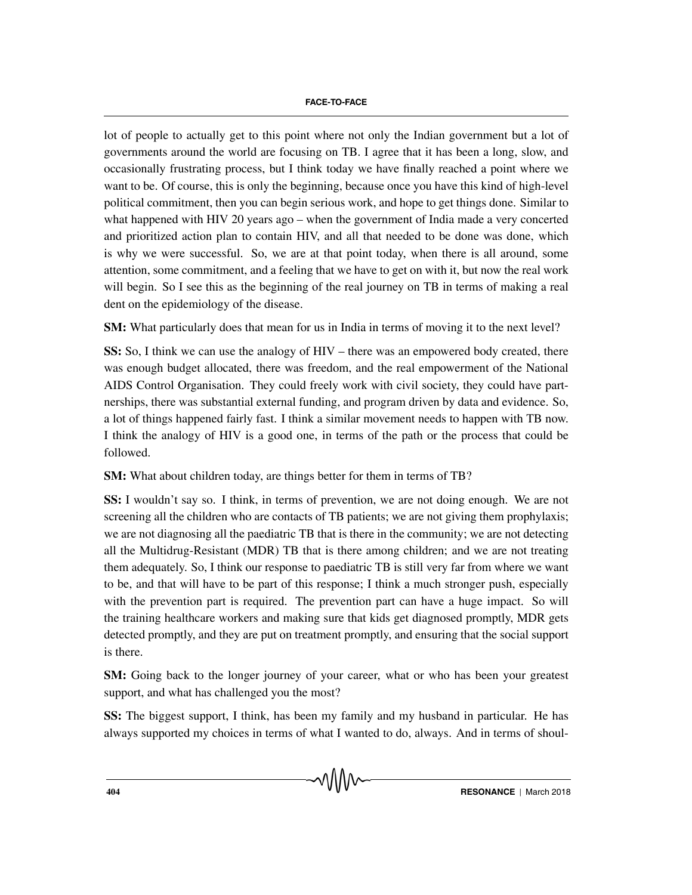lot of people to actually get to this point where not only the Indian government but a lot of governments around the world are focusing on TB. I agree that it has been a long, slow, and occasionally frustrating process, but I think today we have finally reached a point where we want to be. Of course, this is only the beginning, because once you have this kind of high-level political commitment, then you can begin serious work, and hope to get things done. Similar to what happened with HIV 20 years ago – when the government of India made a very concerted and prioritized action plan to contain HIV, and all that needed to be done was done, which is why we were successful. So, we are at that point today, when there is all around, some attention, some commitment, and a feeling that we have to get on with it, but now the real work will begin. So I see this as the beginning of the real journey on TB in terms of making a real dent on the epidemiology of the disease.

**SM:** What particularly does that mean for us in India in terms of moving it to the next level?

**SS:** So, I think we can use the analogy of HIV – there was an empowered body created, there was enough budget allocated, there was freedom, and the real empowerment of the National AIDS Control Organisation. They could freely work with civil society, they could have partnerships, there was substantial external funding, and program driven by data and evidence. So, a lot of things happened fairly fast. I think a similar movement needs to happen with TB now. I think the analogy of HIV is a good one, in terms of the path or the process that could be followed.

**SM:** What about children today, are things better for them in terms of TB?

**SS:** I wouldn't say so. I think, in terms of prevention, we are not doing enough. We are not screening all the children who are contacts of TB patients; we are not giving them prophylaxis; we are not diagnosing all the paediatric TB that is there in the community; we are not detecting all the Multidrug-Resistant (MDR) TB that is there among children; and we are not treating them adequately. So, I think our response to paediatric TB is still very far from where we want to be, and that will have to be part of this response; I think a much stronger push, especially with the prevention part is required. The prevention part can have a huge impact. So will the training healthcare workers and making sure that kids get diagnosed promptly, MDR gets detected promptly, and they are put on treatment promptly, and ensuring that the social support is there.

**SM:** Going back to the longer journey of your career, what or who has been your greatest support, and what has challenged you the most?

**SS:** The biggest support, I think, has been my family and my husband in particular. He has always supported my choices in terms of what I wanted to do, always. And in terms of shoul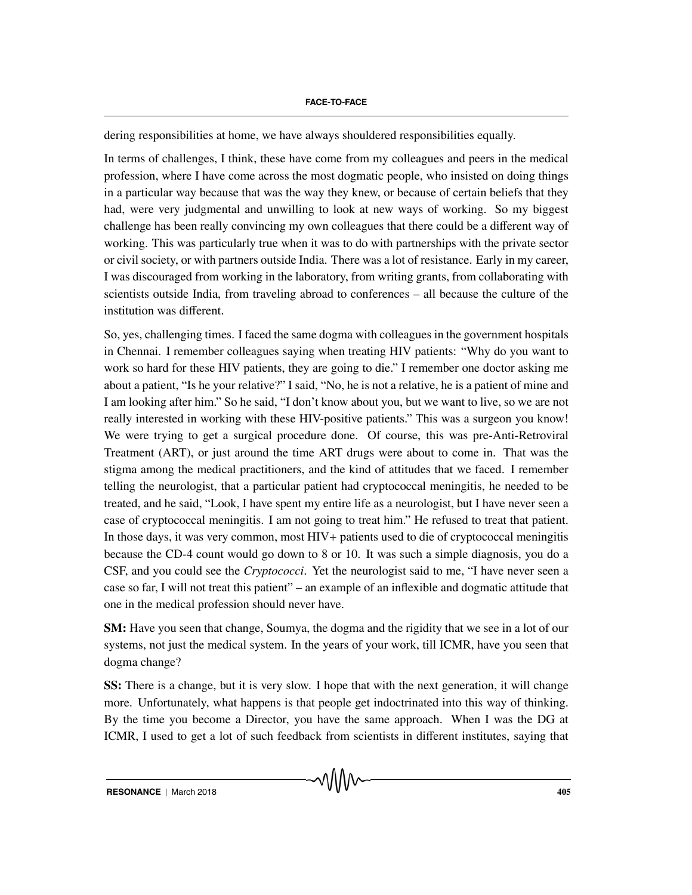dering responsibilities at home, we have always shouldered responsibilities equally.

In terms of challenges, I think, these have come from my colleagues and peers in the medical profession, where I have come across the most dogmatic people, who insisted on doing things in a particular way because that was the way they knew, or because of certain beliefs that they had, were very judgmental and unwilling to look at new ways of working. So my biggest challenge has been really convincing my own colleagues that there could be a different way of working. This was particularly true when it was to do with partnerships with the private sector or civil society, or with partners outside India. There was a lot of resistance. Early in my career, I was discouraged from working in the laboratory, from writing grants, from collaborating with scientists outside India, from traveling abroad to conferences – all because the culture of the institution was different.

So, yes, challenging times. I faced the same dogma with colleagues in the government hospitals in Chennai. I remember colleagues saying when treating HIV patients: "Why do you want to work so hard for these HIV patients, they are going to die." I remember one doctor asking me about a patient, "Is he your relative?" I said, "No, he is not a relative, he is a patient of mine and I am looking after him." So he said, "I don't know about you, but we want to live, so we are not really interested in working with these HIV-positive patients." This was a surgeon you know! We were trying to get a surgical procedure done. Of course, this was pre-Anti-Retroviral Treatment (ART), or just around the time ART drugs were about to come in. That was the stigma among the medical practitioners, and the kind of attitudes that we faced. I remember telling the neurologist, that a particular patient had cryptococcal meningitis, he needed to be treated, and he said, "Look, I have spent my entire life as a neurologist, but I have never seen a case of cryptococcal meningitis. I am not going to treat him." He refused to treat that patient. In those days, it was very common, most HIV+ patients used to die of cryptococcal meningitis because the CD-4 count would go down to 8 or 10. It was such a simple diagnosis, you do a CSF, and you could see the *Cryptococci*. Yet the neurologist said to me, "I have never seen a case so far, I will not treat this patient" – an example of an inflexible and dogmatic attitude that one in the medical profession should never have.

**SM:** Have you seen that change, Soumya, the dogma and the rigidity that we see in a lot of our systems, not just the medical system. In the years of your work, till ICMR, have you seen that dogma change?

**SS:** There is a change, but it is very slow. I hope that with the next generation, it will change more. Unfortunately, what happens is that people get indoctrinated into this way of thinking. By the time you become a Director, you have the same approach. When I was the DG at ICMR, I used to get a lot of such feedback from scientists in different institutes, saying that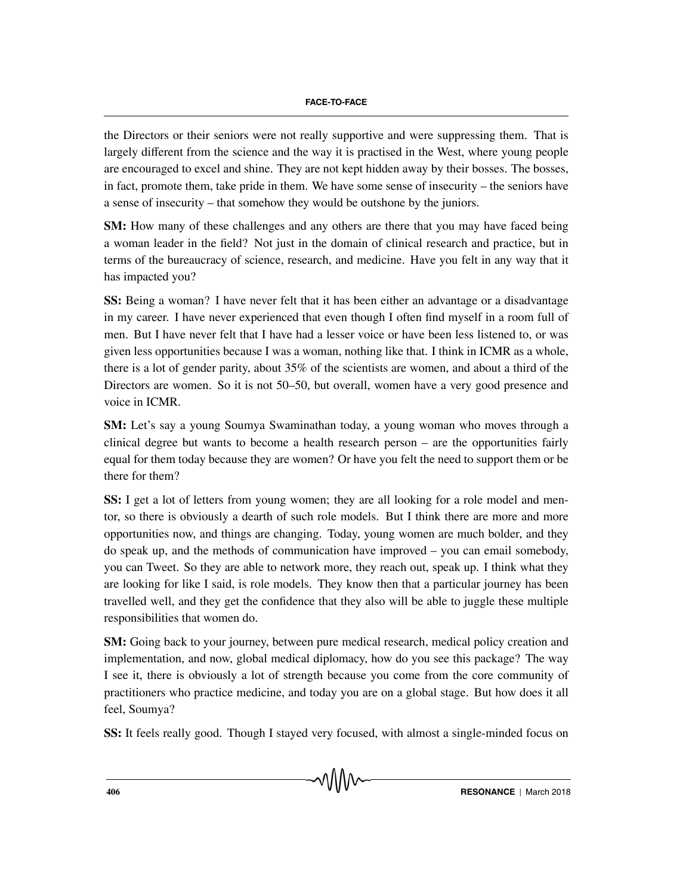the Directors or their seniors were not really supportive and were suppressing them. That is largely different from the science and the way it is practised in the West, where young people are encouraged to excel and shine. They are not kept hidden away by their bosses. The bosses, in fact, promote them, take pride in them. We have some sense of insecurity – the seniors have a sense of insecurity – that somehow they would be outshone by the juniors.

**SM:** How many of these challenges and any others are there that you may have faced being a woman leader in the field? Not just in the domain of clinical research and practice, but in terms of the bureaucracy of science, research, and medicine. Have you felt in any way that it has impacted you?

**SS:** Being a woman? I have never felt that it has been either an advantage or a disadvantage in my career. I have never experienced that even though I often find myself in a room full of men. But I have never felt that I have had a lesser voice or have been less listened to, or was given less opportunities because I was a woman, nothing like that. I think in ICMR as a whole, there is a lot of gender parity, about 35% of the scientists are women, and about a third of the Directors are women. So it is not 50–50, but overall, women have a very good presence and voice in ICMR.

**SM:** Let's say a young Soumya Swaminathan today, a young woman who moves through a clinical degree but wants to become a health research person – are the opportunities fairly equal for them today because they are women? Or have you felt the need to support them or be there for them?

**SS:** I get a lot of letters from young women; they are all looking for a role model and mentor, so there is obviously a dearth of such role models. But I think there are more and more opportunities now, and things are changing. Today, young women are much bolder, and they do speak up, and the methods of communication have improved – you can email somebody, you can Tweet. So they are able to network more, they reach out, speak up. I think what they are looking for like I said, is role models. They know then that a particular journey has been travelled well, and they get the confidence that they also will be able to juggle these multiple responsibilities that women do.

**SM:** Going back to your journey, between pure medical research, medical policy creation and implementation, and now, global medical diplomacy, how do you see this package? The way I see it, there is obviously a lot of strength because you come from the core community of practitioners who practice medicine, and today you are on a global stage. But how does it all feel, Soumya?

**SS:** It feels really good. Though I stayed very focused, with almost a single-minded focus on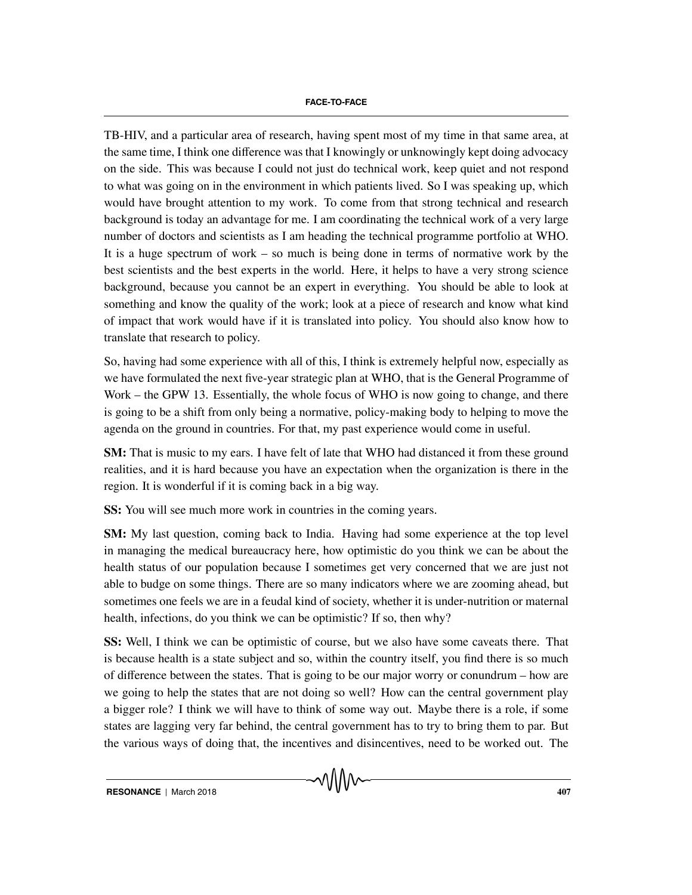TB-HIV, and a particular area of research, having spent most of my time in that same area, at the same time, I think one difference was that I knowingly or unknowingly kept doing advocacy on the side. This was because I could not just do technical work, keep quiet and not respond to what was going on in the environment in which patients lived. So I was speaking up, which would have brought attention to my work. To come from that strong technical and research background is today an advantage for me. I am coordinating the technical work of a very large number of doctors and scientists as I am heading the technical programme portfolio at WHO. It is a huge spectrum of work – so much is being done in terms of normative work by the best scientists and the best experts in the world. Here, it helps to have a very strong science background, because you cannot be an expert in everything. You should be able to look at something and know the quality of the work; look at a piece of research and know what kind of impact that work would have if it is translated into policy. You should also know how to translate that research to policy.

So, having had some experience with all of this, I think is extremely helpful now, especially as we have formulated the next five-year strategic plan at WHO, that is the General Programme of Work – the GPW 13. Essentially, the whole focus of WHO is now going to change, and there is going to be a shift from only being a normative, policy-making body to helping to move the agenda on the ground in countries. For that, my past experience would come in useful.

**SM:** That is music to my ears. I have felt of late that WHO had distanced it from these ground realities, and it is hard because you have an expectation when the organization is there in the region. It is wonderful if it is coming back in a big way.

**SS:** You will see much more work in countries in the coming years.

**SM:** My last question, coming back to India. Having had some experience at the top level in managing the medical bureaucracy here, how optimistic do you think we can be about the health status of our population because I sometimes get very concerned that we are just not able to budge on some things. There are so many indicators where we are zooming ahead, but sometimes one feels we are in a feudal kind of society, whether it is under-nutrition or maternal health, infections, do you think we can be optimistic? If so, then why?

**SS:** Well, I think we can be optimistic of course, but we also have some caveats there. That is because health is a state subject and so, within the country itself, you find there is so much of difference between the states. That is going to be our major worry or conundrum – how are we going to help the states that are not doing so well? How can the central government play a bigger role? I think we will have to think of some way out. Maybe there is a role, if some states are lagging very far behind, the central government has to try to bring them to par. But the various ways of doing that, the incentives and disincentives, need to be worked out. The